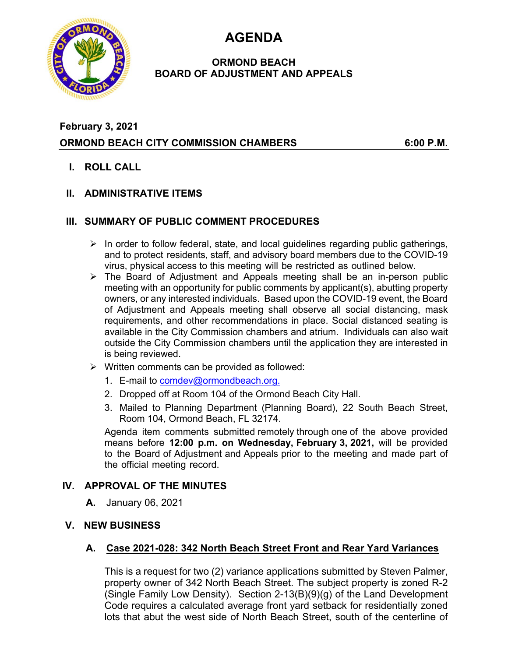**AGENDA** 



# **ORMOND BEACH BOARD OF ADJUSTMENT AND APPEALS**

# **February 3, 2021 ORMOND BEACH CITY COMMISSION CHAMBERS 6:00 P.M.**

**I. ROLL CALL** 

# **II. ADMINISTRATIVE ITEMS**

## **III. SUMMARY OF PUBLIC COMMENT PROCEDURES**

- $\triangleright$  In order to follow federal, state, and local guidelines regarding public gatherings, and to protect residents, staff, and advisory board members due to the COVID-19 virus, physical access to this meeting will be restricted as outlined below.
- $\triangleright$  The Board of Adjustment and Appeals meeting shall be an in-person public meeting with an opportunity for public comments by applicant(s), abutting property owners, or any interested individuals. Based upon the COVID-19 event, the Board of Adjustment and Appeals meeting shall observe all social distancing, mask requirements, and other recommendations in place. Social distanced seating is available in the City Commission chambers and atrium. Individuals can also wait outside the City Commission chambers until the application they are interested in is being reviewed.
- $\triangleright$  Written comments can be provided as followed:
	- 1. E-mail to comdev@ormondbeach.org.
	- 2. Dropped off at Room 104 of the Ormond Beach City Hall.
	- 3. Mailed to Planning Department (Planning Board), 22 South Beach Street, Room 104, Ormond Beach, FL 32174.

Agenda item comments submitted remotely through one of the above provided means before **12:00 p.m. on Wednesday, February 3, 2021,** will be provided to the Board of Adjustment and Appeals prior to the meeting and made part of the official meeting record.

# **IV. APPROVAL OF THE MINUTES**

**A.** January 06, 2021

### **V. NEW BUSINESS**

#### **A. Case 2021-028: 342 North Beach Street Front and Rear Yard Variances**

This is a request for two (2) variance applications submitted by Steven Palmer, property owner of 342 North Beach Street. The subject property is zoned R-2 (Single Family Low Density). Section 2-13(B)(9)(g) of the Land Development Code requires a calculated average front yard setback for residentially zoned lots that abut the west side of North Beach Street, south of the centerline of